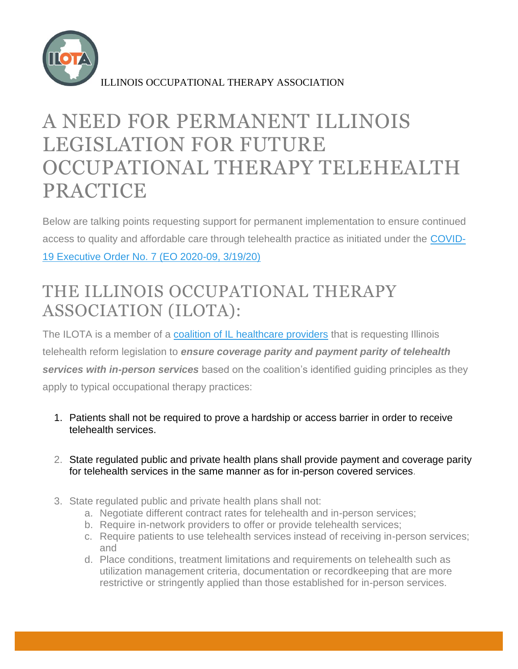

ILLINOIS OCCUPATIONAL THERAPY ASSOCIATION

## A NEED FOR PERMANENT ILLINOIS LEGISLATION FOR FUTURE OCCUPATIONAL THERAPY TELEHEALTH PRACTICE

Below are talking points requesting support for permanent implementation to ensure continued access to quality and affordable care through telehealth practice as initiated under the [COVID-](https://www2.illinois.gov/Pages/Executive-Orders/ExecutiveOrder2020-09.aspx)[19 Executive Order No. 7 \(EO 2020-09, 3/19/20\)](https://www2.illinois.gov/Pages/Executive-Orders/ExecutiveOrder2020-09.aspx)

## THE ILLINOIS OCCUPATIONAL THERAPY ASSOCIATION (ILOTA):

The ILOTA is a member of a [coalition of IL healthcare providers](https://www.team-iha.org/files/non-gated/news/telehealth-coalition-press-release.aspx?ext=.pdf) that is requesting Illinois telehealth reform legislation to *ensure coverage parity and payment parity of telehealth services with in-person services* based on the coalition's identified guiding principles as they apply to typical occupational therapy practices:

- 1. Patients shall not be required to prove a hardship or access barrier in order to receive telehealth services.
- 2. State regulated public and private health plans shall provide payment and coverage parity for telehealth services in the same manner as for in-person covered services.
- 3. State regulated public and private health plans shall not:
	- a. Negotiate different contract rates for telehealth and in-person services;
	- b. Require in-network providers to offer or provide telehealth services;
	- c. Require patients to use telehealth services instead of receiving in-person services; and
	- d. Place conditions, treatment limitations and requirements on telehealth such as utilization management criteria, documentation or recordkeeping that are more restrictive or stringently applied than those established for in-person services.